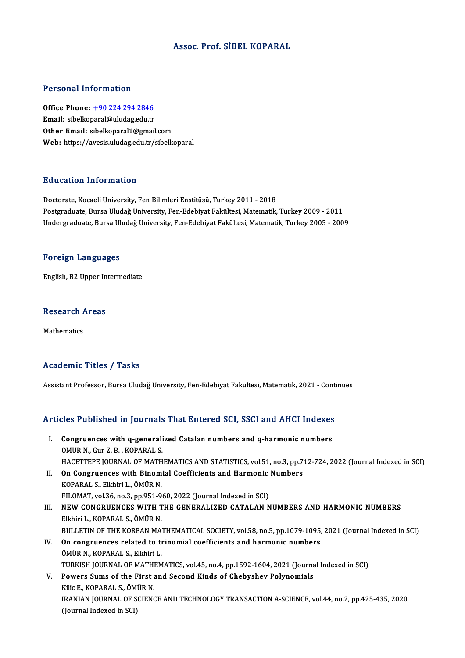### Assoc. Prof. SİBEL KOPARAL

### Personal Information

Personal Information<br>Office Phone: <u>+90 224 294 2846</u><br>Email: sibellienerel@uluder.edu.tr 1 STSSMATHISTMARSH<br>Office Phone: <u>+90 224 294 2846</u><br>Email: sibelko[paral@uludag.edu.tr](tel:+90 224 294 2846) Email: sibelkoparal@uludag.edu.tr<br>Other Email: sibelkoparal1@gmail.com Web: https://avesis.uludag.edu.tr/sibelkoparal

### Education Information

Doctorate, Kocaeli University, Fen Bilimleri Enstitüsü, Turkey 2011 - 2018 Postgraduate, Bursa Uludağ University, Fen-Edebiyat Fakültesi, Matematik, Turkey 2009 - 2011 Undergraduate, Bursa Uludağ University, Fen-Edebiyat Fakültesi, Matematik, Turkey 2005 - 2009

#### Foreign Languages

English,B2Upper Intermediate

### engusn, B2 Upper in<br>Research Areas Re<mark>search</mark> /<br>Mathematics

## Mathematics<br>Academic Titles / Tasks

Assistant Professor, Bursa Uludağ University, Fen-Edebiyat Fakültesi, Matematik, 2021 - Continues

# Assistant Professor, Bursa Oludag Oniversity, Pen-Edebiyat Pakultesi, Matematik, 2021 - Conti<br>Articles Published in Journals That Entered SCI, SSCI and AHCI Indexes

- rticles Published in Journals That Entered SCI, SSCI and AHCI Indexes<br>I. Congruences with q-generalized Catalan numbers and q-harmonic numbers<br>ÖMÜP N. Cur Z. B. KOPARALS I. Congruences with q-generalized Catalan numbers and q-harmonic numbers ÖMÜR N., Gur Z. B., KOPARAL S. Congruences with q-generalized Catalan numbers and q-harmonic numbers<br>ÖMÜR N., Gur Z. B. , KOPARAL S.<br>HACETTEPE JOURNAL OF MATHEMATICS AND STATISTICS, vol.51, no.3, pp.712-724, 2022 (Journal Indexed in SCI)<br>On Congruences ÖMÜR N., Gur Z. B., KOPARAL S.<br>HACETTEPE JOURNAL OF MATHEMATICS AND STATISTICS, vol.51, no.3, pp.7<br>II. On Congruences with Binomial Coefficients and Harmonic Numbers<br>KORARAL S. Elkhiri L. ÖMÜR N. HACETTEPE JOURNAL OF MATH<br>On Congruences with Binom<br>KOPARAL S., Elkhiri L., ÖMÜR N.<br>EU OMAT vol 26 no 2 nn 951 9. On Congruences with Binomial Coefficients and Harmonic<br>KOPARAL S., Elkhiri L., ÖMÜR N.<br>FILOMAT, vol.36, no.3, pp.951-960, 2022 (Journal Indexed in SCI)<br>NEW CONCRUENCES WITH THE CENERALIZED CATALAN N KOPARAL S., Elkhiri L., ÖMÜR N.<br>FILOMAT, vol.36, no.3, pp.951-960, 2022 (Journal Indexed in SCI)<br>III. NEW CONGRUENCES WITH THE GENERALIZED CATALAN NUMBERS AND HARMONIC NUMBERS<br>FILAITI L. KORARAL S. ÖMÜR N
- FILOMAT, vol.36, no.3, pp.951-9<br>NEW CONGRUENCES WITH T<br>Elkhiri L., KOPARAL S., ÖMÜR N.<br>PIILLETIN OF THE KOPEAN MA. NEW CONGRUENCES WITH THE GENERALIZED CATALAN NUMBERS AND HARMONIC NUMBERS<br>Elkhiri L., KOPARAL S., ÖMÜR N.<br>BULLETIN OF THE KOREAN MATHEMATICAL SOCIETY, vol.58, no.5, pp.1079-1095, 2021 (Journal Indexed in SCI)<br>On songruenge Elkhiri L., KOPARAL S., ÖMÜR N.<br>BULLETIN OF THE KOREAN MATHEMATICAL SOCIETY, vol.58, no.5, pp.1079-1095,<br>IV. On congruences related to trinomial coefficients and harmonic numbers<br>ÖMÜR N. KORARAL S. Elkhiri L
- BULLETIN OF THE KOREAN MA'<br>On congruences related to the<br>ÖMÜR N., KOPARAL S., Elkhiri L.<br>TURKISH JOURNAL OF MATHEM ÖMÜR N., KOPARAL S., Elkhiri L.<br>TURKISH JOURNAL OF MATHEMATICS, vol.45, no.4, pp.1592-1604, 2021 (Journal Indexed in SCI) ÖMÜR N., KOPARAL S., Elkhiri L.<br>TURKISH JOURNAL OF MATHEMATICS, vol.45, no.4, pp.1592-1604, 2021 (Journa<br>V. Powers Sums of the First and Second Kinds of Chebyshev Polynomials<br>Ville F. KORARAL S. ÖMÜR N
- TURKISH JOURNAL OF MATHI<br>Powers Sums of the First<br>Kilic E., KOPARAL S., ÖMÜR N.<br>IPANIAN JOURNAL OF SCIENC Kilic E., KOPARAL S., ÖMÜR N.<br>IRANIAN JOURNAL OF SCIENCE AND TECHNOLOGY TRANSACTION A-SCIENCE, vol.44, no.2, pp.425-435, 2020 (Journal Indexed in SCI)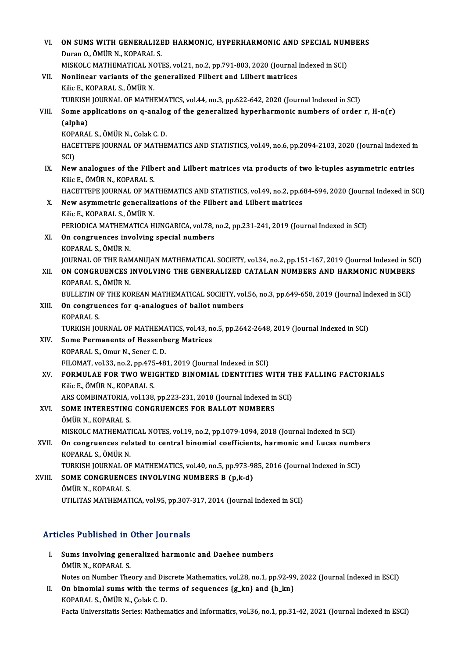| VI.    | ON SUMS WITH GENERALIZED HARMONIC, HYPERHARMONIC AND SPECIAL NUMBERS<br>Duran O., ÖMÜR N., KOPARAL S.                           |
|--------|---------------------------------------------------------------------------------------------------------------------------------|
|        | MISKOLC MATHEMATICAL NOTES, vol.21, no.2, pp.791-803, 2020 (Journal Indexed in SCI)                                             |
| VII.   | Nonlinear variants of the generalized Filbert and Lilbert matrices                                                              |
|        | Kilic E., KOPARAL S., ÖMÜR N.                                                                                                   |
|        | TURKISH JOURNAL OF MATHEMATICS, vol.44, no.3, pp.622-642, 2020 (Journal Indexed in SCI)                                         |
| VIII.  | Some applications on q-analog of the generalized hyperharmonic numbers of order r, H-n(r)                                       |
|        | (alpha)                                                                                                                         |
|        | KOPARAL S., ÖMÜR N., Colak C. D.                                                                                                |
|        | HACETTEPE JOURNAL OF MATHEMATICS AND STATISTICS, vol.49, no.6, pp.2094-2103, 2020 (Journal Indexed in<br>SCI)                   |
| IX.    | New analogues of the Filbert and Lilbert matrices via products of two k-tuples asymmetric entries<br>Kilic E, ÖMÜR N, KOPARAL S |
|        | HACETTEPE JOURNAL OF MATHEMATICS AND STATISTICS, vol.49, no.2, pp.684-694, 2020 (Journal Indexed in SCI)                        |
| X.     | New asymmetric generalizations of the Filbert and Lilbert matrices                                                              |
|        | Kilic E., KOPARAL S., ÖMÜR N.                                                                                                   |
|        | PERIODICA MATHEMATICA HUNGARICA, vol.78, no.2, pp.231-241, 2019 (Journal Indexed in SCI)                                        |
| XI.    | On congruences involving special numbers                                                                                        |
|        | KOPARAL S., ÖMÜR N.                                                                                                             |
|        | JOURNAL OF THE RAMANUJAN MATHEMATICAL SOCIETY, vol.34, no.2, pp.151-167, 2019 (Journal Indexed in SCI)                          |
| XII.   | ON CONGRUENCES INVOLVING THE GENERALIZED CATALAN NUMBERS AND HARMONIC NUMBERS                                                   |
|        | KOPARAL S., ÖMÜR N.                                                                                                             |
|        | BULLETIN OF THE KOREAN MATHEMATICAL SOCIETY, vol.56, no.3, pp.649-658, 2019 (Journal Indexed in SCI)                            |
| XIII.  | On congruences for q-analogues of ballot numbers<br><b>KOPARAL S.</b>                                                           |
|        | TURKISH JOURNAL OF MATHEMATICS, vol.43, no.5, pp.2642-2648, 2019 (Journal Indexed in SCI)                                       |
| XIV.   | Some Permanents of Hessenberg Matrices                                                                                          |
|        | KOPARAL S., Omur N., Sener C. D.                                                                                                |
|        | FILOMAT, vol.33, no.2, pp.475-481, 2019 (Journal Indexed in SCI)                                                                |
| XV.    | FORMULAE FOR TWO WEIGHTED BINOMIAL IDENTITIES WITH THE FALLING FACTORIALS                                                       |
|        | Kilic E, ÖMÜR N, KOPARAL S.                                                                                                     |
|        | ARS COMBINATORIA, vol.138, pp.223-231, 2018 (Journal Indexed in SCI)                                                            |
| XVI.   | SOME INTERESTING CONGRUENCES FOR BALLOT NUMBERS                                                                                 |
|        | ÖMÜR N., KOPARAL S.                                                                                                             |
|        | MISKOLC MATHEMATICAL NOTES, vol.19, no.2, pp.1079-1094, 2018 (Journal Indexed in SCI)                                           |
| XVII.  | On congruences related to central binomial coefficients, harmonic and Lucas numbers                                             |
|        | KOPARAL S., ÖMÜR N.                                                                                                             |
|        | TURKISH JOURNAL OF MATHEMATICS, vol.40, no.5, pp.973-985, 2016 (Journal Indexed in SCI)                                         |
| XVIII. | SOME CONGRUENCES INVOLVING NUMBERS B (p,k-d)                                                                                    |
|        | ÖMÜR N., KOPARAL S.                                                                                                             |
|        | UTILITAS MATHEMATICA, vol 95, pp.307-317, 2014 (Journal Indexed in SCI)                                                         |
|        |                                                                                                                                 |

### Articles Published in Other Journals

- rticles Published in Other Journals<br>I. Sums involving generalized harmonic and Daehee numbers<br>ÖMÜP N. KOPARALS Stes 1 denonce 11<br>Sums involving gene<br>ÖMÜR N., KOPARAL S.<br>Natas an Number The ÖMÜR N., KOPARAL S.<br>Notes on Number Theory and Discrete Mathematics, vol.28, no.1, pp.92-99, 2022 (Journal Indexed in ESCI) OMUR N., KOPARAL S.<br>Notes on Number Theory and Discrete Mathematics, vol.28, no.1, pp.92-99<br>II. On binomial sums with the terms of sequences {g\_kn} and {h\_kn}<br>KORARAL S. ÖMUR N. Colak C. D.
- Notes on Number Theory and Dis<br>On binomial sums with the ter<br>KOPARAL S., ÖMÜR N., Çolak C. D.<br>Festa Universitatis Series: Mathen KOPARAL S., ÖMÜR N., Çolak C. D.<br>Facta Universitatis Series: Mathematics and Informatics, vol.36, no.1, pp.31-42, 2021 (Journal Indexed in ESCI)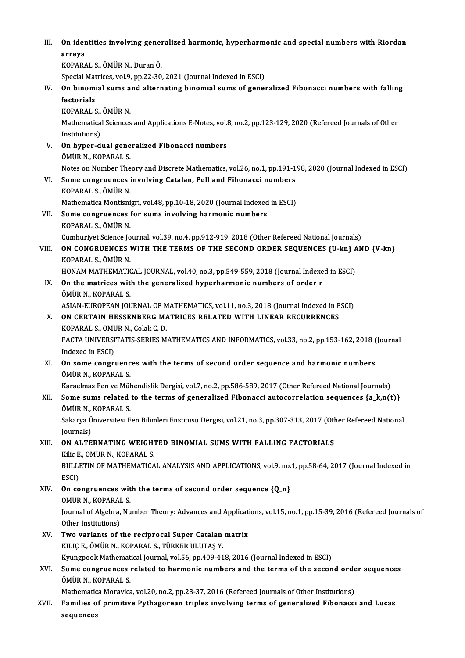III. On identities involving generalized harmonic, hyperharmonic and special numbers with Riordan<br>cannove On ider<br>arrays<br><sup>VODAD</sup>!

arrays<br>KOPARAL S., ÖMÜR N., Duran Ö.

arrays<br>KOPARAL S., ÖMÜR N., Duran Ö.<br>Special Matrices, vol.9, pp.22-30, 2021 (Journal Indexed in ESCI)<br>On binomial sume and alternating binomial sume of genes

KOPARAL S., ÖMÜR N., Duran Ö.<br>Special Matrices, vol.9, pp.22-30, 2021 (Journal Indexed in ESCI)<br>IV. On binomial sums and alternating binomial sums of generalized Fibonacci numbers with falling<br>factorials Special Mat<br>**On binomi<br>factorials**<br>KORARALS On binomial sums a<br>factorials<br>KOPARAL S., ÖMÜR N.<br>Mathematical Sciences factorials<br>KOPARAL S., ÖMÜR N.<br>Mathematical Sciences and Applications E-Notes, vol.8, no.2, pp.123-129, 2020 (Refereed Journals of Other<br>Institutions) KOPARAL S.,<br>Mathematica<br>Institutions)<br>On hyper d Mathematical Sciences and Applications E-Notes, vol.<br>Institutions)<br>V. On hyper-dual generalized Fibonacci numbers<br>ÖMÜP N. KORARAL S Institutions)<br>**On hyper-dual gene<br>ÖMÜR N., KOPARAL S.<br>Nates en Number The** ÖMÜR N., KOPARAL S.<br>Notes on Number Theory and Discrete Mathematics, vol.26, no.1, pp.191-198, 2020 (Journal Indexed in ESCI) ÖMÜR N., KOPARAL S.<br>Notes on Number Theory and Discrete Mathematics, vol.26, no.1, pp.191-1<br>VI. Some congruences involving Catalan, Pell and Fibonacci numbers<br>KORARALS, ÖMÜR N Notes on Number The<br>**Some congruences**<br>KOPARAL S., ÖMÜR N.<br>Mathematice Mentioni Some congruences involving Catalan, Pell and Fibonacci numbers<br>KOPARAL S., ÖMÜR N.<br>Mathematica Montisnigri, vol.48, pp.10-18, 2020 (Journal Indexed in ESCI)<br>Some congruences for sume involving bermonis numbers. KOPARAL S., ÖMÜR N.<br>Mathematica Montisnigri, vol.48, pp.10-18, 2020 (Journal Indexed<br>VII. Some congruences for sums involving harmonic numbers<br>KOPARAL S., ÖMÜR N. Mathematica Montisni<br>Some congruences<br>KOPARAL S., ÖMÜR N.<br>Cumburiyat Science Io Some congruences for sums involving harmonic numbers<br>KOPARAL S., ÖMÜR N.<br>Cumhuriyet Science Journal, vol.39, no.4, pp.912-919, 2018 (Other Refereed National Journals)<br>ON CONCRUENCES WITH THE TERMS OF THE SECOND ORDER SEQUE KOPARAL S., ÖMÜR N.<br>Cumhuriyet Science Journal, vol.39, no.4, pp.912-919, 2018 (Other Refereed National Journals)<br>VIII. ON CONGRUENCES WITH THE TERMS OF THE SECOND ORDER SEQUENCES {U-kn} AND {V-kn}<br>VORARAL S. ÖMÜR N Cumhuriyet Science Jo<br>**ON CONGRUENCES V**<br>KOPARAL S., ÖMÜR N.<br>HONAM MATUEMATIC ON CONGRUENCES WITH THE TERMS OF THE SECOND ORDER SEQUENCES {U-kn} A<br>KOPARAL S., ÖMÜR N.<br>HONAM MATHEMATICAL JOURNAL, vol.40, no.3, pp.549-559, 2018 (Journal Indexed in ESCI)<br>On the matrices with the seneralized hyperharmen KOPARAL S., ÖMÜR N.<br>HONAM MATHEMATICAL JOURNAL, vol.40, no.3, pp.549-559, 2018 (Journal Indexe<br>IX. On the matrices with the generalized hyperharmonic numbers of order r<br>ÖMÜR N.. KOPARAL S. HONAM MATHEMATICAL JOURNAL, vol.40, no.3, pp.549-559, 2018 (Journal Indexed in ESCI) On the matrices with the generalized hyperharmonic numbers of order r<br>ÖMÜR N., KOPARAL S.<br>ASIAN-EUROPEAN JOURNAL OF MATHEMATICS, vol.11, no.3, 2018 (Journal Indexed in ESCI)<br>ON CERTAIN HESSENRERC MATRICES RELATED WITH LINE ÖMÜR N., KOPARAL S.<br>ASIAN-EUROPEAN JOURNAL OF MATHEMATICS, vol.11, no.3, 2018 (Journal Indexed in E<br>X. ON CERTAIN HESSENBERG MATRICES RELATED WITH LINEAR RECURRENCES<br>KOPARAL S. ÖMÜR N. Colok C. D. ASIAN-EUROPEAN JOURNAL OF M<br>**ON CERTAIN HESSENBERG MA<br>KOPARAL S., ÖMÜR N., Colak C. D.**<br>FACTA UNIVERSITATIS SERIES M ON CERTAIN HESSENBERG MATRICES RELATED WITH LINEAR RECURRENCES<br>KOPARAL S., ÖMÜR N., Colak C. D.<br>FACTA UNIVERSITATIS-SERIES MATHEMATICS AND INFORMATICS, vol.33, no.2, pp.153-162, 2018 (Journal<br>Indoved in ESCD KOPARAL S., ÖMI<br>FACTA UNIVERSI<br>Indexed in ESCI)<br>On some songri FACTA UNIVERSITATIS-SERIES MATHEMATICS AND INFORMATICS, vol.33, no.2, pp.153-162, 2018 (<br>Indexed in ESCI)<br>XI. On some congruences with the terms of second order sequence and harmonic numbers<br>ÖMÜP N, KORARAL S Indexed in ESCI)<br>**On some congruenc**<br>ÖMÜR N., KOPARAL S.<br>Koroelmes Fen ve Mül On some congruences with the terms of second order sequence and harmonic numbers<br>ÖMÜR N., KOPARAL S.<br>Karaelmas Fen ve Mühendislik Dergisi, vol.7, no.2, pp.586-589, 2017 (Other Refereed National Journals)<br>Some sume related ÖMÜR N., KOPARAL S.<br>Karaelmas Fen ve Mühendislik Dergisi, vol.7, no.2, pp.586-589, 2017 (Other Refereed National Journals)<br>XII. Some sums related to the terms of generalized Fibonacci autocorrelation sequences {a\_k,n(t)}<br>Ö Karaelmas Fen ve Mül<br>Some sums related<br>ÖMÜR N., KOPARAL S.<br>Selmun Üniversitesi E Some sums related to the terms of generalized Fibonacci autocorrelation sequences {a\_k,n(t)}<br>ÖMÜR N., KOPARAL S.<br>Sakarya Üniversitesi Fen Bilimleri Enstitüsü Dergisi, vol.21, no.3, pp.307-313, 2017 (Other Refereed National ÖMÜR N.,<br>Sakarya Ü<br>Journals)<br>ON ALTE Sakarya Üniversitesi Fen Bilimleri Enstitüsü Dergisi, vol.21, no.3, pp.307-313, 2017 (Oth<br>Journals)<br>XIII. ON ALTERNATING WEIGHTED BINOMIAL SUMS WITH FALLING FACTORIALS<br>Vile E. ÖMÜP N. KORARAL S Journals)<br>XIII. ON ALTERNATING WEIGHTED BINOMIAL SUMS WITH FALLING FACTORIALS<br>Kilic E., ÖMÜR N., KOPARAL S. ON ALTERNATING WEIGHTED BINOMIAL SUMS WITH FALLING FACTORIALS<br>Kilic E., ÖMÜR N., KOPARAL S.<br>BULLETIN OF MATHEMATICAL ANALYSIS AND APPLICATIONS, vol.9, no.1, pp.58-64, 2017 (Journal Indexed in<br>ESCD Kilic E<br>BULLI<br>ESCI)<br>On 60 BULLETIN OF MATHEMATICAL ANALYSIS AND APPLICATIONS, vol.9, no.<br>ESCI)<br>XIV. On congruences with the terms of second order sequence {Q\_n}<br>
OMUP N\_KORAPAL S ESCI)<br>XIV. On congruences with the terms of second order sequence  ${Q_n}$ <br>ÖMÜR N., KOPARAL S. On congruences with the terms of second order sequence {Q\_n}<br>ÖMÜR N., KOPARAL S.<br>Journal of Algebra, Number Theory: Advances and Applications, vol.15, no.1, pp.15-39, 2016 (Refereed Journals of<br>Other Institutions) ÖMÜR N., KOPARAI<br>Journal of Algebra,<br>Other Institutions)<br>Two variants of t Journal of Algebra, Number Theory: Advances and Applicati<br>Other Institutions)<br>XV. Two variants of the reciprocal Super Catalan matrix<br>VII IC E. ÖMÜB N. KOBARAL S. TÜRKER III ITAS V Other Institutions)<br>Two variants of the reciprocal Super Catalan matrix<br>KILIÇ E., ÖMÜR N., KOPARAL S., TÜRKER ULUTAŞ Y. Two variants of the reciprocal Super Catalan matrix<br>KILIÇ E., ÖMÜR N., KOPARAL S., TÜRKER ULUTAŞ Y.<br>Kyungpook Mathematical Journal, vol.56, pp.409-418, 2016 (Journal Indexed in ESCI)<br>Some congruences related to barmonia nu KILIÇ E., ÖMÜR N., KOPARAL S., TÜRKER ULUTAŞ Y.<br>Kyungpook Mathematical Journal, vol.56, pp.409-418, 2016 (Journal Indexed in ESCI)<br>XVI. Some congruences related to harmonic numbers and the terms of the second order sequenc Kyungpook Mathemat<br>Some congruences<br>ÖMÜR N., KOPARAL S.<br>Mathematice Menevice Some congruences related to harmonic numbers and the terms of the second orde<br>ÖMÜR N., KOPARAL S.<br>Mathematica Moravica, vol.20, no.2, pp.23-37, 2016 (Refereed Journals of Other Institutions)<br>Familias of primitive Bythesene ÖMÜR N., KOPARAL S.<br>Mathematica Moravica, vol.20, no.2, pp.23-37, 2016 (Refereed Journals of Other Institutions)<br>XVII. Families of primitive Pythagorean triples involving terms of generalized Fibonacci and Lucas Mathematic<br>Families o<br>sequences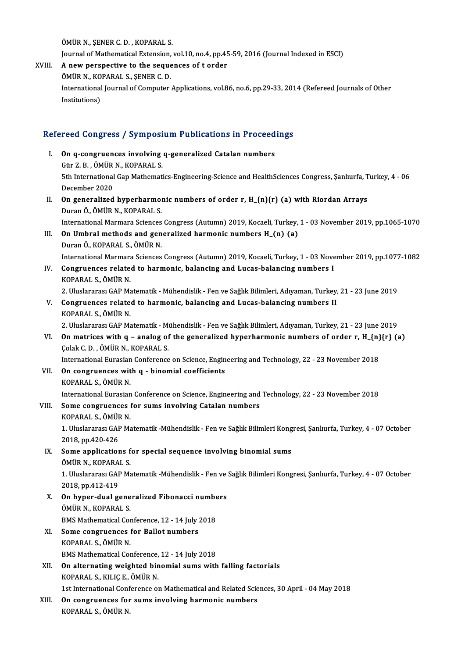ÖMÜRN.,ŞENERC.D. ,KOPARAL S.

ÖMÜR N., ŞENER C. D. , KOPARAL S.<br>Journal of Mathematical Extension, vol.10, no.4, pp.45-59, 2016 (Journal Indexed in ESCI)<br>A now perspective to the sequences of t order

OMUR N., SENER C. D., KOPARAL S.<br>Journal of Mathematical Extension, vol.10, no.4, pp.45<br>XVIII. A new perspective to the sequences of t order<br>OMUR N. KORARAL S. SENER C. D. Journal of Mathematical Extension,<br>A new perspective to the seque<br>ÖMÜR N., KOPARAL S., ŞENER C. D.<br>International Journal of Computer A new perspective to the sequences of t order<br>ÖMÜR N., KOPARAL S., ŞENER C. D.<br>International Journal of Computer Applications, vol.86, no.6, pp.29-33, 2014 (Refereed Journals of Other<br>Institutions) ÖMÜR N., KO<br>International<br>Institutions)

# msututions)<br>Refereed Congress / Symposium Publications in Proceedings

efereed Congress / Symposium Publications in Proceed<br>I. On q-congruences involving q-generalized Catalan numbers<br>Cin Z P. ÖMÜP N. KOPARALS I. On q-congruences involving q-generalized Catalan numbers<br>Gür Z.B., ÖMÜR N., KOPARAL S. 0n q-congruences involving q-generalized Catalan numbers<br>Gür Z. B. , ÖMÜR N., KOPARAL S.<br>5th International Gap Mathematics-Engineering-Science and HealthSciences Congress, Şanlıurfa, Turkey, 4 - 06<br>Desember 2020 Gür Z. B., ÖMÜR<br>5th International<br>December 2020<br>On genegalized Sth International Gap Mathematics-Engineering-Science and HealthSciences Congress, Şanlıurfa, T<br>December 2020<br>II. On generalized hyperharmonic numbers of order r, H\_{n}{r} (a) with Riordan Arrays<br>Duran Ö, ÖMÜP N, KOPARALS December 2020<br>II. On generalized hyperharmonic numbers of order r, H<sub>-</sub>{n}{r} (a) with Riordan Arrays<br>Duran Ö., ÖMÜR N., KOPARAL S. International Marmara Sciences Congress (Autumn) 2019, Kocaeli, Turkey, 1 - 03 November 2019, pp.1065-1070 Duran Ö., ÖMÜR N., KOPARAL S.<br>International Marmara Sciences Congress (Autumn) 2019, Kocaeli, Turkey,<br>III. On Umbral methods and generalized harmonic numbers H\_(n) (a)<br>Duran Ö. KORARAL S. ÖMÜR N. International Marmara Sciences<br>**On Umbral methods and gen<br>Duran Ö., KOPARAL S., ÖMÜR N.**<br>International Marmara Sciences Duran Ö., KOPARAL S., ÖMÜR N.<br>International Marmara Sciences Congress (Autumn) 2019, Kocaeli, Turkey, 1 - 03 November 2019, pp.1077-1082 Duran Ö., KOPARAL S., ÖMÜR N.<br>International Marmara Sciences Congress (Autumn) 2019, Kocaeli, Turkey, 1 - 03 Nove<br>IV. Congruences related to harmonic, balancing and Lucas-balancing numbers I<br>KORARAL S. ÖMÜR N International Marmara<br>**Congruences relate**<br>KOPARAL S., ÖMÜR N.<br>2. Hluslararası CAP Me KOPARAL S., ÖMÜR N.<br>2. Uluslararası GAP Matematik - Mühendislik - Fen ve Sağlık Bilimleri, Adıyaman, Turkey, 21 - 23 June 2019 KOPARAL S., ÖMÜR N.<br>2. Uluslararası GAP Matematik - Mühendislik - Fen ve Sağlık Bilimleri, Adıyaman, Turkey,<br>2. Congruences related to harmonic, balancing and Lucas-balancing numbers II<br>5. COPARAL S. ÖMÜR N 2. Uluslararası GAP Ma<br>**Congruences relate**<br>KOPARAL S., ÖMÜR N.<br>2. Uluslararası CAP Me Congruences related to harmonic, balancing and Lucas-balancing numbers II<br>KOPARAL S., ÖMÜR N.<br>2. Uluslararası GAP Matematik - Mühendislik - Fen ve Sağlık Bilimleri, Adıyaman, Turkey, 21 - 23 June 2019<br>On matrises with as s KOPARAL S., ÖMÜR N.<br>2. Uluslararası GAP Matematik - Mühendislik - Fen ve Sağlık Bilimleri, Adıyaman, Turkey, 21 - 23 June 2019<br>2. On matrices with q – analog of the generalized hyperharmonic numbers of order r, H\_{n}{r} (a 2. Uluslararası GAP Matematik - Mi<br>On matrices with q – analog of<br>Colak C. D. , ÖMÜR N., KOPARAL S. On matrices with q – analog of the generalized hyperharmonic numbers of order r, H\_{n}<br>Colak C. D. , ÖMÜR N., KOPARAL S.<br>International Eurasian Conference on Science, Engineering and Technology, 22 - 23 November 2018 Colak C. D., ÖMÜR N., KOPARAL S.<br>International Eurasian Conference on Science, Engin<br>VII. On congruences with q - binomial coefficients<br>COPARAL S. ÖMÜR N. International Eurasian<br>**On congruences wit<br>KOPARAL S., ÖMÜR N.**<br>International Eurasian KOPARAL S., ÖMÜR N.<br>International Eurasian Conference on Science, Engineering and Technology, 22 - 23 November 2018 KOPARAL S., ÖMÜR N.<br>International Eurasian Conference on Science, Engineering and<br>VIII. Some congruences for sums involving Catalan numbers<br>VORARAL S. ÖMÜR N. International Eurasian<br>Some congruences<br>KOPARAL S., ÖMÜR N.<br>1. Uluslanares: CAP Me Some congruences for sums involving Catalan numbers<br>KOPARAL S., ÖMÜR N.<br>1. Uluslararası GAP Matematik -Mühendislik - Fen ve Sağlık Bilimleri Kongresi, Şanlıurfa, Turkey, 4 - 07 October

KOPARAL S., ÖMÜF<br>1. Uluslararası GAF<br>2018, pp.420-426<br>Sama annlisation 1. Uluslararası GAP Matematik -Mühendislik - Fen ve Sağlık Bilimleri Kong<br>2018, pp.420-426<br>IX. Some applications for special sequence involving binomial sums<br>ÖMÜP N. KORARAL S

2018, pp.420-426<br>IX. Some applications for special sequence involving binomial sums<br>ÖMÜR N., KOPARAL S.

Some applications for special sequence involving binomial sums<br>ÖMÜR N., KOPARAL S.<br>1. Uluslararası GAP Matematik -Mühendislik - Fen ve Sağlık Bilimleri Kongresi, Şanlıurfa, Turkey, 4 - 07 October<br>2018.np.412.419. ÖMÜR N., KOPARA<br>1. Uluslararası GAF<br>2018, pp.412-419<br>On buner dual ge 1. Uluslararası GAP Matematik -Mühendislik - Fen ve<br>2018, pp.412-419<br>X. On hyper-dual generalized Fibonacci numbers<br>ÖMÜP N. KORARAL S.

2018, pp.412-419<br>**On hyper-dual gene<br>ÖMÜR N., KOPARAL S.<br>PMS Mathematical Cor** On hyper-dual generalized Fibonacci numbe<br>ÖMÜR N., KOPARAL S.<br>BMS Mathematical Conference, 12 - 14 July 2018<br>Same sangrunnass for Ballet numbers ÖMÜR N., KOPARAL S.<br>BMS Mathematical Conference, 12 - 14 July 2018<br>XI. Some congruences for Ballot numbers

- KOPARAL S., ÖMÜR N. BMS Mathematical Conference, 12 - 14 July 2018
- KOPARAL S., ÖMÜR N.<br>BMS Mathematical Conference, 12 14 July 2018<br>XII. On alternating weighted binomial sums with falling factorials<br>KOPARAL S. KULIC F. ÖMÜR N. BMS Mathematical Conference,<br>On alternating weighted bin<br>KOPARAL S., KILIÇ E., ÖMÜR N.<br>1st International Conference et KOPARAL S., KILIÇ E., ÖMÜR N.<br>1st International Conference on Mathematical and Related Sciences, 30 April - 04 May 2018

XIII. On congruences for sums involving harmonic numbers KOPARAL S.,ÖMÜRN.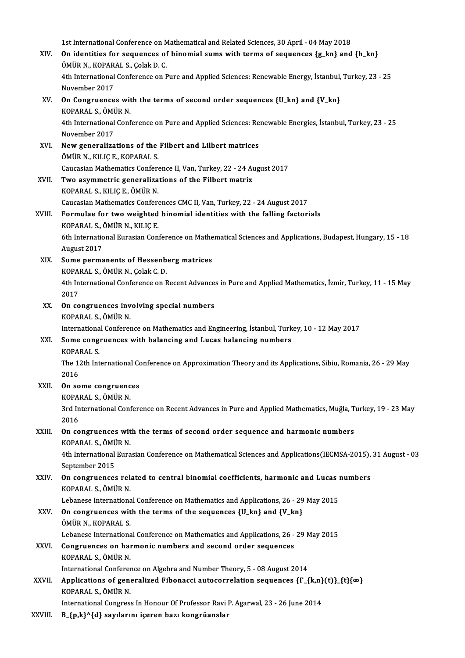1st International Conference on Mathematical and Related Sciences, 30 April - 04 May 2018<br>On identities for ecouences of binomial sums with torms of sequences (a kp) and

|               | 1st International Conference on Mathematical and Related Sciences, 30 April - 04 May 2018                                                 |
|---------------|-------------------------------------------------------------------------------------------------------------------------------------------|
| XIV.          | On identities for sequences of binomial sums with terms of sequences $\{g_k\}$ and $\{h_k\}$<br>ÖMÜR N., KOPARAL S., Çolak D. C.          |
|               | 4th International Conference on Pure and Applied Sciences: Renewable Energy, İstanbul, Turkey, 23 - 25<br>November 2017                   |
| XV.           | On Congruences with the terms of second order sequences {U_kn} and {V_kn}<br>KOPARAL S., ÖMÜR N.                                          |
|               | 4th International Conference on Pure and Applied Sciences: Renewable Energies, İstanbul, Turkey, 23 - 25<br>November 2017                 |
| XVI.          | New generalizations of the Filbert and Lilbert matrices<br>ÖMÜR N., KILIÇ E., KOPARAL S.                                                  |
|               | Caucasian Mathematics Conference II, Van, Turkey, 22 - 24 August 2017                                                                     |
| XVII.         | Two asymmetric generalizations of the Filbert matrix<br>KOPARAL S., KILIÇ E., ÖMÜR N.                                                     |
|               | Caucasian Mathematics Conferences CMC II, Van, Turkey, 22 - 24 August 2017                                                                |
| XVIII.        | Formulae for two weighted binomial identities with the falling factorials                                                                 |
|               | KOPARAL S., ÖMÜR N., KILIÇ E.                                                                                                             |
|               | 6th International Eurasian Conference on Mathematical Sciences and Applications, Budapest, Hungary, 15 - 18<br>August 2017                |
| XIX.          | Some permanents of Hessenberg matrices                                                                                                    |
|               | KOPARAL S., ÖMÜR N., Çolak C. D.                                                                                                          |
|               | 4th International Conference on Recent Advances in Pure and Applied Mathematics, İzmir, Turkey, 11 - 15 May                               |
|               | 2017                                                                                                                                      |
| XX.           | On congruences involving special numbers                                                                                                  |
|               | KOPARAL S., ÖMÜR N.                                                                                                                       |
|               | International Conference on Mathematics and Engineering, İstanbul, Turkey, 10 - 12 May 2017                                               |
| XXI.          | Some congruences with balancing and Lucas balancing numbers                                                                               |
|               | <b>KOPARAL S</b>                                                                                                                          |
|               | The 12th International Conference on Approximation Theory and its Applications, Sibiu, Romania, 26 - 29 May<br>2016                       |
| XXII.         | On some congruences                                                                                                                       |
|               | KOPARAL S., ÖMÜR N.                                                                                                                       |
|               | 3rd International Conference on Recent Advances in Pure and Applied Mathematics, Muğla, Turkey, 19 - 23 May                               |
|               | 2016                                                                                                                                      |
| XXIII.        | On congruences with the terms of second order sequence and harmonic numbers<br>KOPARAL S., ÖMÜR N.                                        |
|               | 4th International Eurasian Conference on Mathematical Sciences and Applications (IECMSA-2015), 31 August - 03<br>September 2015           |
| XXIV.         | On congruences related to central binomial coefficients, harmonic and Lucas numbers<br>KOPARAL S., ÖMÜR N.                                |
|               | Lebanese International Conference on Mathematics and Applications, 26 - 29 May 2015                                                       |
| XXV           | On congruences with the terms of the sequences {U_kn} and {V_kn}<br>ÖMÜR N., KOPARAL S.                                                   |
|               | Lebanese International Conference on Mathematics and Applications, 26 - 29 May 2015                                                       |
| XXVI.         | Congruences on harmonic numbers and second order sequences<br>KOPARAL S., ÖMÜR N.                                                         |
|               | International Conference on Algebra and Number Theory, 5 - 08 August 2014                                                                 |
| XXVII.        | Applications of generalized Fibonacci autocorrelation sequences $\{\Gamma_{\text{-}}\{k,n\}(t)\}$ [t} $\{\infty\}$<br>KOPARAL S., ÖMÜR N. |
|               | International Congress In Honour Of Professor Ravi P. Agarwal, 23 - 26 June 2014                                                          |
| <b>ZYVIII</b> | R {n kl^{d} sayılarını iceren hazı kongrüanslar                                                                                           |

XXVIII.  $B_{p,k}^{(p,k)}$  B $\geq$ unilarını içeren bazı kongrüanslar